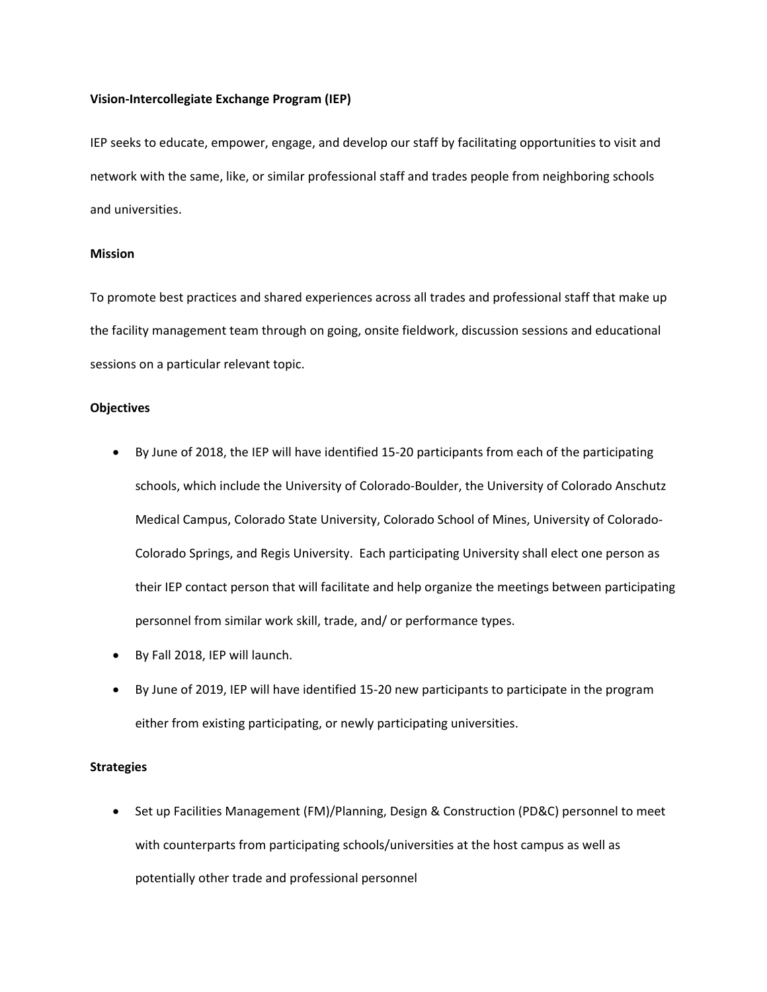#### **Vision-Intercollegiate Exchange Program (IEP)**

IEP seeks to educate, empower, engage, and develop our staff by facilitating opportunities to visit and network with the same, like, or similar professional staff and trades people from neighboring schools and universities.

#### **Mission**

To promote best practices and shared experiences across all trades and professional staff that make up the facility management team through on going, onsite fieldwork, discussion sessions and educational sessions on a particular relevant topic.

## **Objectives**

- By June of 2018, the IEP will have identified 15-20 participants from each of the participating schools, which include the University of Colorado-Boulder, the University of Colorado Anschutz Medical Campus, Colorado State University, Colorado School of Mines, University of Colorado-Colorado Springs, and Regis University. Each participating University shall elect one person as their IEP contact person that will facilitate and help organize the meetings between participating personnel from similar work skill, trade, and/ or performance types.
- By Fall 2018, IEP will launch.
- By June of 2019, IEP will have identified 15-20 new participants to participate in the program either from existing participating, or newly participating universities.

## **Strategies**

• Set up Facilities Management (FM)/Planning, Design & Construction (PD&C) personnel to meet with counterparts from participating schools/universities at the host campus as well as potentially other trade and professional personnel